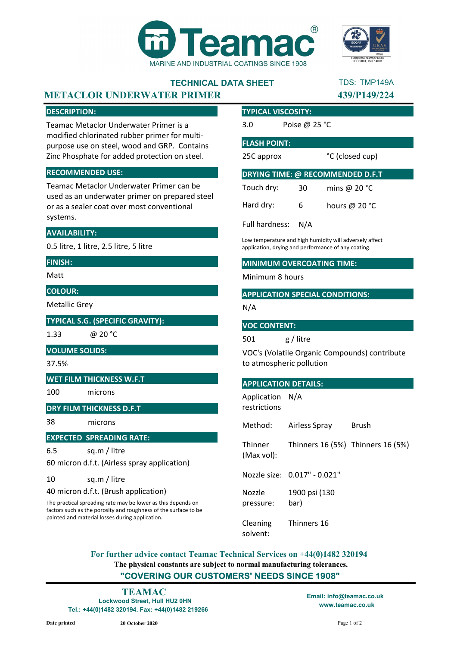

# TECHNICAL DATA SHEET

## METACLOR UNDERWATER PRIMER 139/P149/224

#### DESCRIPTION:

Teamac Metaclor Underwater Primer is a modified chlorinated rubber primer for multipurpose use on steel, wood and GRP. Contains Zinc Phosphate for added protection on steel.

#### RECOMMENDED USE:

Teamac Metaclor Underwater Primer can be used as an underwater primer on prepared steel or as a sealer coat over most conventional systems.

#### AVAILABILITY:

0.5 litre, 1 litre, 2.5 litre, 5 litre

#### FINISH:

Matt

#### COLOUR:

Metallic Grey

#### TYPICAL S.G. (SPECIFIC GRAVITY):

1.33

@ 20 °C

#### VOLUME SOLIDS:

37.5%

#### WET FILM THICKNESS W.F.T

100 microns

#### DRY FILM THICKNESS D.F.T

38 microns

#### EXPECTED SPREADING RATE:

6.5 sq.m / litre

60 micron d.f.t. (Airless spray application)

#### 10 sq.m / litre

40 micron d.f.t. (Brush application)

The practical spreading rate may be lower as this depends on factors such as the porosity and roughness of the surface to be painted and material losses during application.

#### TYPICAL VISCOSITY:

3.0 Poise @ 25 °C

#### FLASH POINT:

25C approx

°C (closed cup)

| DRYING TIME: @ RECOMMENDED D.F.T |     |                 |
|----------------------------------|-----|-----------------|
| Touch dry:                       | 30  | mins @ $20 °C$  |
| Hard dry:                        | 6   | hours @ $20 °C$ |
| Full hardness:                   | N/A |                 |

Low temperature and high humidity will adversely affect application, drying and performance of any coating.

#### MINIMUM OVERCOATING TIME:

Minimum 8 hours

#### APPLICATION SPECIAL CONDITIONS:

N/A

#### VOC CONTENT:

501 g / litre

VOC's (Volatile Organic Compounds) contribute to atmospheric pollution

#### APPLICATION DETAILS:

Application N/A restrictions

Method: Airless Spray Brush

**Thinner** (Max vol): Thinners 16 (5%) Thinners 16 (5%)

Nozzle size: 0.017" - 0.021"

Nozzle pressure: 1900 psi (130 bar)

Cleaning solvent: Thinners 16

The physical constants are subject to normal manufacturing tolerances. "COVERING OUR CUSTOMERS' NEEDS SINCE 1908" For further advice contact Teamac Technical Services on +44(0)1482 320194

Lockwood Street, Hull HU2 0HN Tel.: +44(0)1482 320194. Fax: +44(0)1482 219266

www.teamac.co.uk TEAMAC Email: info@teamac.co.uk



TDS: TMP149A